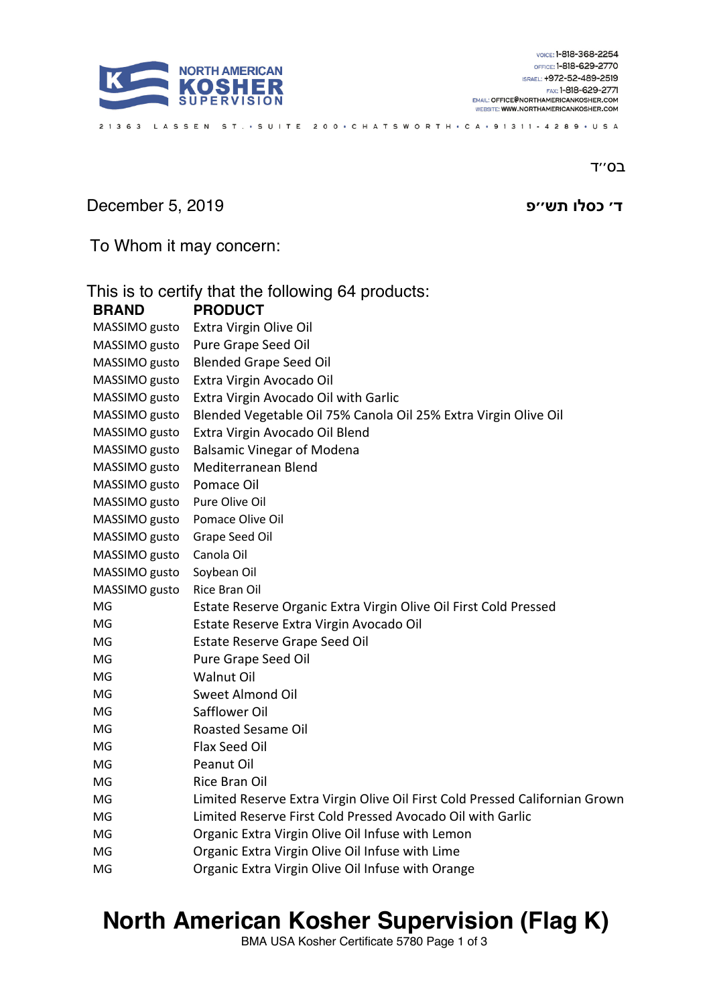

ב0"ד

### **ד ׳ שת ולסכ פ׳׳** 2019 5, December

To Whom it may concern:

| This is to certify that the following 64 products: |                                                                             |
|----------------------------------------------------|-----------------------------------------------------------------------------|
| <b>BRAND</b>                                       | <b>PRODUCT</b>                                                              |
| MASSIMO gusto                                      | Extra Virgin Olive Oil                                                      |
| MASSIMO gusto                                      | Pure Grape Seed Oil                                                         |
| MASSIMO gusto                                      | <b>Blended Grape Seed Oil</b>                                               |
| MASSIMO gusto                                      | Extra Virgin Avocado Oil                                                    |
| MASSIMO gusto                                      | Extra Virgin Avocado Oil with Garlic                                        |
| MASSIMO gusto                                      | Blended Vegetable Oil 75% Canola Oil 25% Extra Virgin Olive Oil             |
| MASSIMO gusto                                      | Extra Virgin Avocado Oil Blend                                              |
| MASSIMO gusto                                      | <b>Balsamic Vinegar of Modena</b>                                           |
| MASSIMO gusto                                      | Mediterranean Blend                                                         |
| MASSIMO gusto                                      | Pomace Oil                                                                  |
| MASSIMO gusto                                      | Pure Olive Oil                                                              |
| MASSIMO gusto                                      | Pomace Olive Oil                                                            |
| MASSIMO gusto                                      | Grape Seed Oil                                                              |
| MASSIMO gusto                                      | Canola Oil                                                                  |
| MASSIMO gusto                                      | Soybean Oil                                                                 |
| MASSIMO gusto                                      | Rice Bran Oil                                                               |
| MG                                                 | Estate Reserve Organic Extra Virgin Olive Oil First Cold Pressed            |
| MG                                                 | Estate Reserve Extra Virgin Avocado Oil                                     |
| MG                                                 | Estate Reserve Grape Seed Oil                                               |
| MG                                                 | Pure Grape Seed Oil                                                         |
| MG                                                 | <b>Walnut Oil</b>                                                           |
| MG                                                 | Sweet Almond Oil                                                            |
| MG                                                 | Safflower Oil                                                               |
| MG                                                 | <b>Roasted Sesame Oil</b>                                                   |
| MG                                                 | Flax Seed Oil                                                               |
| MG                                                 | <b>Peanut Oil</b>                                                           |
| MG                                                 | Rice Bran Oil                                                               |
| MG                                                 | Limited Reserve Extra Virgin Olive Oil First Cold Pressed Californian Grown |
| MG                                                 | Limited Reserve First Cold Pressed Avocado Oil with Garlic                  |
| MG                                                 | Organic Extra Virgin Olive Oil Infuse with Lemon                            |
| MG                                                 | Organic Extra Virgin Olive Oil Infuse with Lime                             |
| MG                                                 | Organic Extra Virgin Olive Oil Infuse with Orange                           |

21363 LASSEN ST. • SUITE 200 • CHATSWORTH • CA • 91311 - 4289 • USA

## **North American Kosher Supervision (Flag K)**

BMA USA Kosher Certificate 5780 Page 1 of 3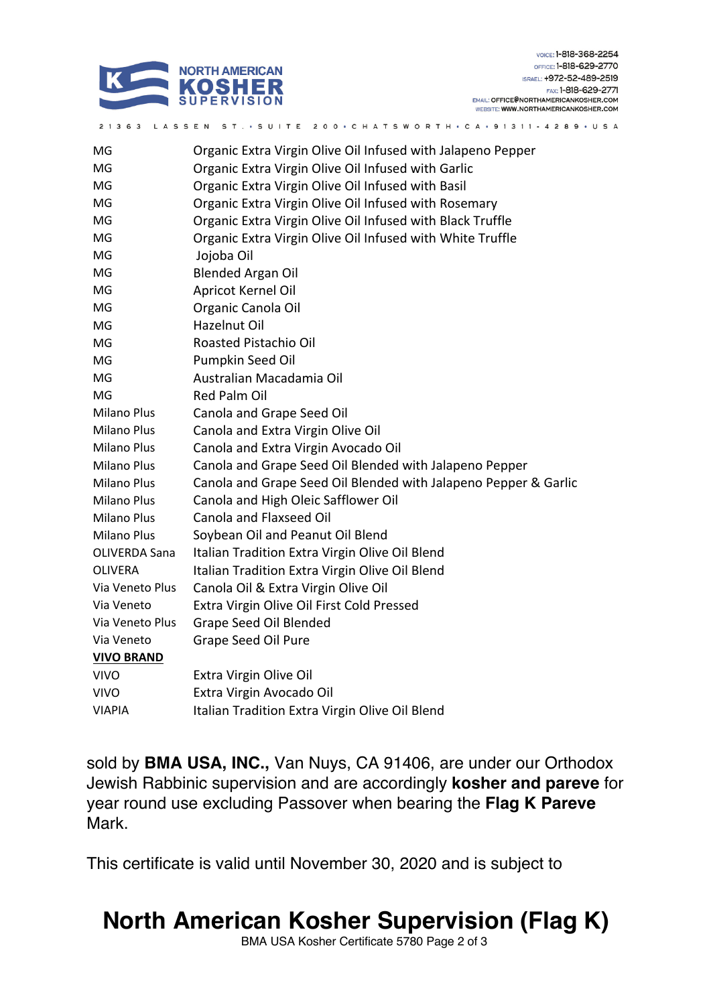

| MG                   | Organic Extra Virgin Olive Oil Infused with Jalapeno Pepper     |
|----------------------|-----------------------------------------------------------------|
| MG                   | Organic Extra Virgin Olive Oil Infused with Garlic              |
| MG                   | Organic Extra Virgin Olive Oil Infused with Basil               |
| MG                   | Organic Extra Virgin Olive Oil Infused with Rosemary            |
| MG                   | Organic Extra Virgin Olive Oil Infused with Black Truffle       |
| MG                   | Organic Extra Virgin Olive Oil Infused with White Truffle       |
| MG                   | Jojoba Oil                                                      |
| MG                   | <b>Blended Argan Oil</b>                                        |
| MG                   | Apricot Kernel Oil                                              |
| MG                   | Organic Canola Oil                                              |
| MG                   | <b>Hazelnut Oil</b>                                             |
| MG                   | Roasted Pistachio Oil                                           |
| MG                   | Pumpkin Seed Oil                                                |
| MG                   | Australian Macadamia Oil                                        |
| MG                   | <b>Red Palm Oil</b>                                             |
| <b>Milano Plus</b>   | Canola and Grape Seed Oil                                       |
| <b>Milano Plus</b>   | Canola and Extra Virgin Olive Oil                               |
| <b>Milano Plus</b>   | Canola and Extra Virgin Avocado Oil                             |
| Milano Plus          | Canola and Grape Seed Oil Blended with Jalapeno Pepper          |
| <b>Milano Plus</b>   | Canola and Grape Seed Oil Blended with Jalapeno Pepper & Garlic |
| <b>Milano Plus</b>   | Canola and High Oleic Safflower Oil                             |
| <b>Milano Plus</b>   | Canola and Flaxseed Oil                                         |
| <b>Milano Plus</b>   | Soybean Oil and Peanut Oil Blend                                |
| <b>OLIVERDA Sana</b> | Italian Tradition Extra Virgin Olive Oil Blend                  |
| <b>OLIVERA</b>       | Italian Tradition Extra Virgin Olive Oil Blend                  |
| Via Veneto Plus      | Canola Oil & Extra Virgin Olive Oil                             |
| Via Veneto           | Extra Virgin Olive Oil First Cold Pressed                       |
| Via Veneto Plus      | Grape Seed Oil Blended                                          |
| Via Veneto           | Grape Seed Oil Pure                                             |
| <b>VIVO BRAND</b>    |                                                                 |
| <b>VIVO</b>          | Extra Virgin Olive Oil                                          |
| <b>VIVO</b>          | Extra Virgin Avocado Oil                                        |
| <b>VIAPIA</b>        | Italian Tradition Extra Virgin Olive Oil Blend                  |
|                      |                                                                 |

21363 LASSEN ST. • SUITE 200 • CHATSWORTH • CA • 91311 - 4289 • USA

sold by **BMA USA, INC.,** Van Nuys, CA 91406, are under our Orthodox Jewish Rabbinic supervision and are accordingly **kosher and pareve** for year round use excluding Passover when bearing the **Flag K Pareve** Mark.

This certificate is valid until November 30, 2020 and is subject to

# **North American Kosher Supervision (Flag K)**

BMA USA Kosher Certificate 5780 Page 2 of 3